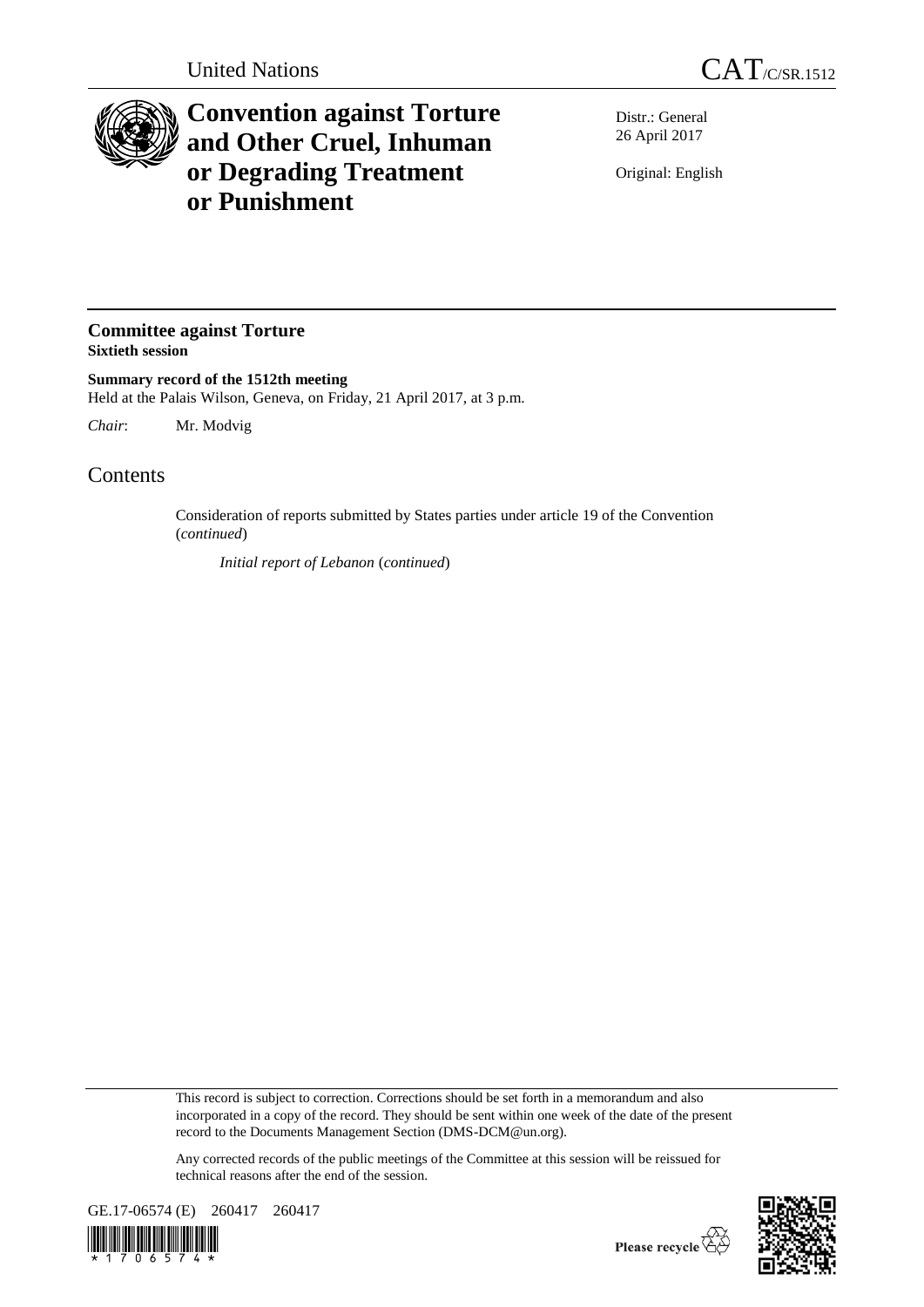

## **Convention against Torture and Other Cruel, Inhuman or Degrading Treatment or Punishment**

Distr.: General 26 April 2017

Original: English

## **Committee against Torture Sixtieth session**

**Summary record of the 1512th meeting** Held at the Palais Wilson, Geneva, on Friday, 21 April 2017, at 3 p.m.

*Chair*: Mr. Modvig

## **Contents**

Consideration of reports submitted by States parties under article 19 of the Convention (*continued*)

*Initial report of Lebanon* (*continued*)

This record is subject to correction. Corrections should be set forth in a memorandum and also incorporated in a copy of the record. They should be sent within one week of the date of the present record to the Documents Management Section (DMS-DCM@un.org).

Any corrected records of the public meetings of the Committee at this session will be reissued for technical reasons after the end of the session.



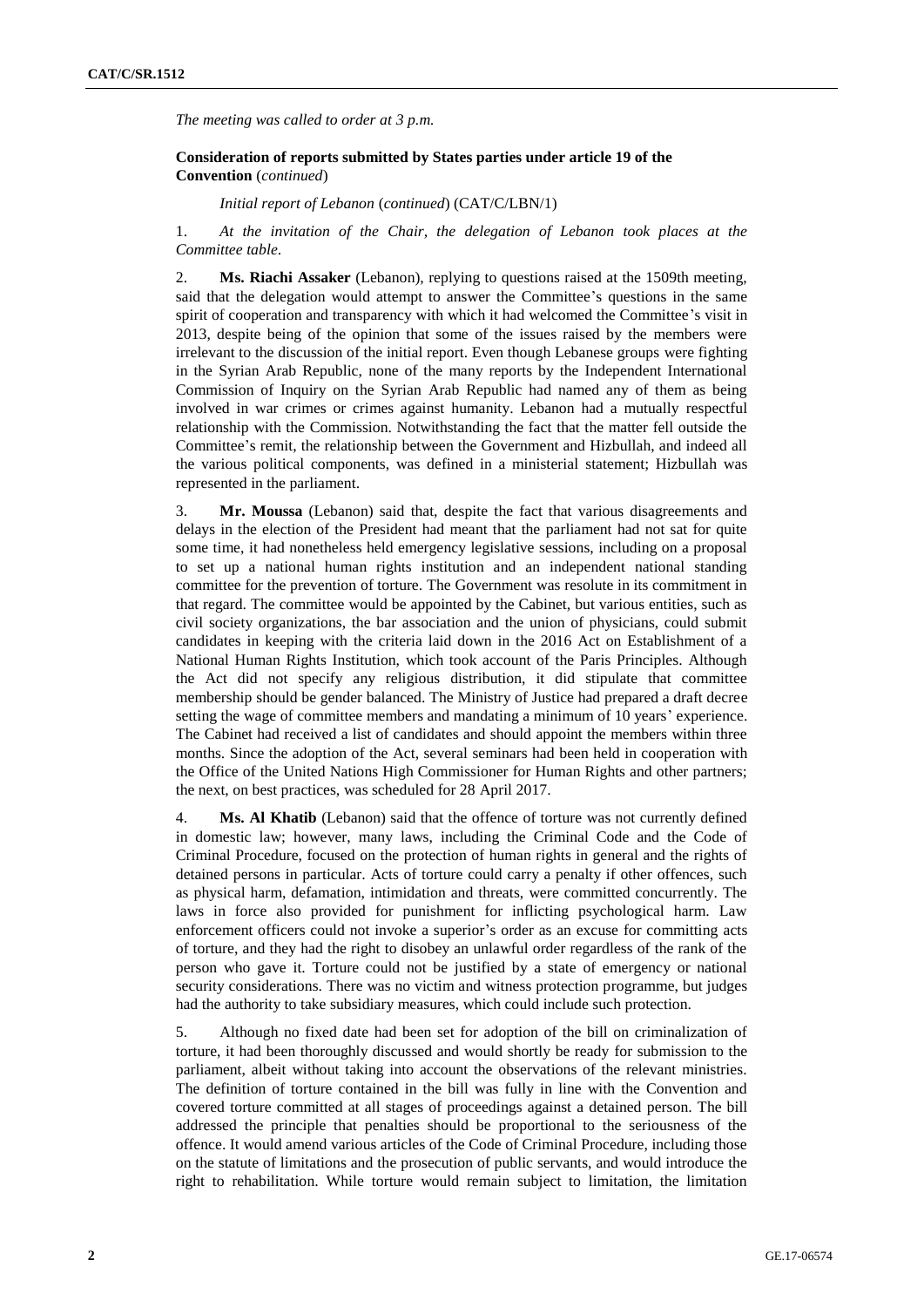*The meeting was called to order at 3 p.m.*

**Consideration of reports submitted by States parties under article 19 of the Convention** (*continued*)

*Initial report of Lebanon* (*continued*) (CAT/C/LBN/1)

1. *At the invitation of the Chair, the delegation of Lebanon took places at the Committee table*.

2. **Ms. Riachi Assaker** (Lebanon), replying to questions raised at the 1509th meeting, said that the delegation would attempt to answer the Committee's questions in the same spirit of cooperation and transparency with which it had welcomed the Committee's visit in 2013, despite being of the opinion that some of the issues raised by the members were irrelevant to the discussion of the initial report. Even though Lebanese groups were fighting in the Syrian Arab Republic, none of the many reports by the Independent International Commission of Inquiry on the Syrian Arab Republic had named any of them as being involved in war crimes or crimes against humanity. Lebanon had a mutually respectful relationship with the Commission. Notwithstanding the fact that the matter fell outside the Committee's remit, the relationship between the Government and Hizbullah, and indeed all the various political components, was defined in a ministerial statement; Hizbullah was represented in the parliament.

3. **Mr. Moussa** (Lebanon) said that, despite the fact that various disagreements and delays in the election of the President had meant that the parliament had not sat for quite some time, it had nonetheless held emergency legislative sessions, including on a proposal to set up a national human rights institution and an independent national standing committee for the prevention of torture. The Government was resolute in its commitment in that regard. The committee would be appointed by the Cabinet, but various entities, such as civil society organizations, the bar association and the union of physicians, could submit candidates in keeping with the criteria laid down in the 2016 Act on Establishment of a National Human Rights Institution, which took account of the Paris Principles. Although the Act did not specify any religious distribution, it did stipulate that committee membership should be gender balanced. The Ministry of Justice had prepared a draft decree setting the wage of committee members and mandating a minimum of 10 years' experience. The Cabinet had received a list of candidates and should appoint the members within three months. Since the adoption of the Act, several seminars had been held in cooperation with the Office of the United Nations High Commissioner for Human Rights and other partners; the next, on best practices, was scheduled for 28 April 2017.

4. **Ms. Al Khatib** (Lebanon) said that the offence of torture was not currently defined in domestic law; however, many laws, including the Criminal Code and the Code of Criminal Procedure, focused on the protection of human rights in general and the rights of detained persons in particular. Acts of torture could carry a penalty if other offences, such as physical harm, defamation, intimidation and threats, were committed concurrently. The laws in force also provided for punishment for inflicting psychological harm. Law enforcement officers could not invoke a superior's order as an excuse for committing acts of torture, and they had the right to disobey an unlawful order regardless of the rank of the person who gave it. Torture could not be justified by a state of emergency or national security considerations. There was no victim and witness protection programme, but judges had the authority to take subsidiary measures, which could include such protection.

5. Although no fixed date had been set for adoption of the bill on criminalization of torture, it had been thoroughly discussed and would shortly be ready for submission to the parliament, albeit without taking into account the observations of the relevant ministries. The definition of torture contained in the bill was fully in line with the Convention and covered torture committed at all stages of proceedings against a detained person. The bill addressed the principle that penalties should be proportional to the seriousness of the offence. It would amend various articles of the Code of Criminal Procedure, including those on the statute of limitations and the prosecution of public servants, and would introduce the right to rehabilitation. While torture would remain subject to limitation, the limitation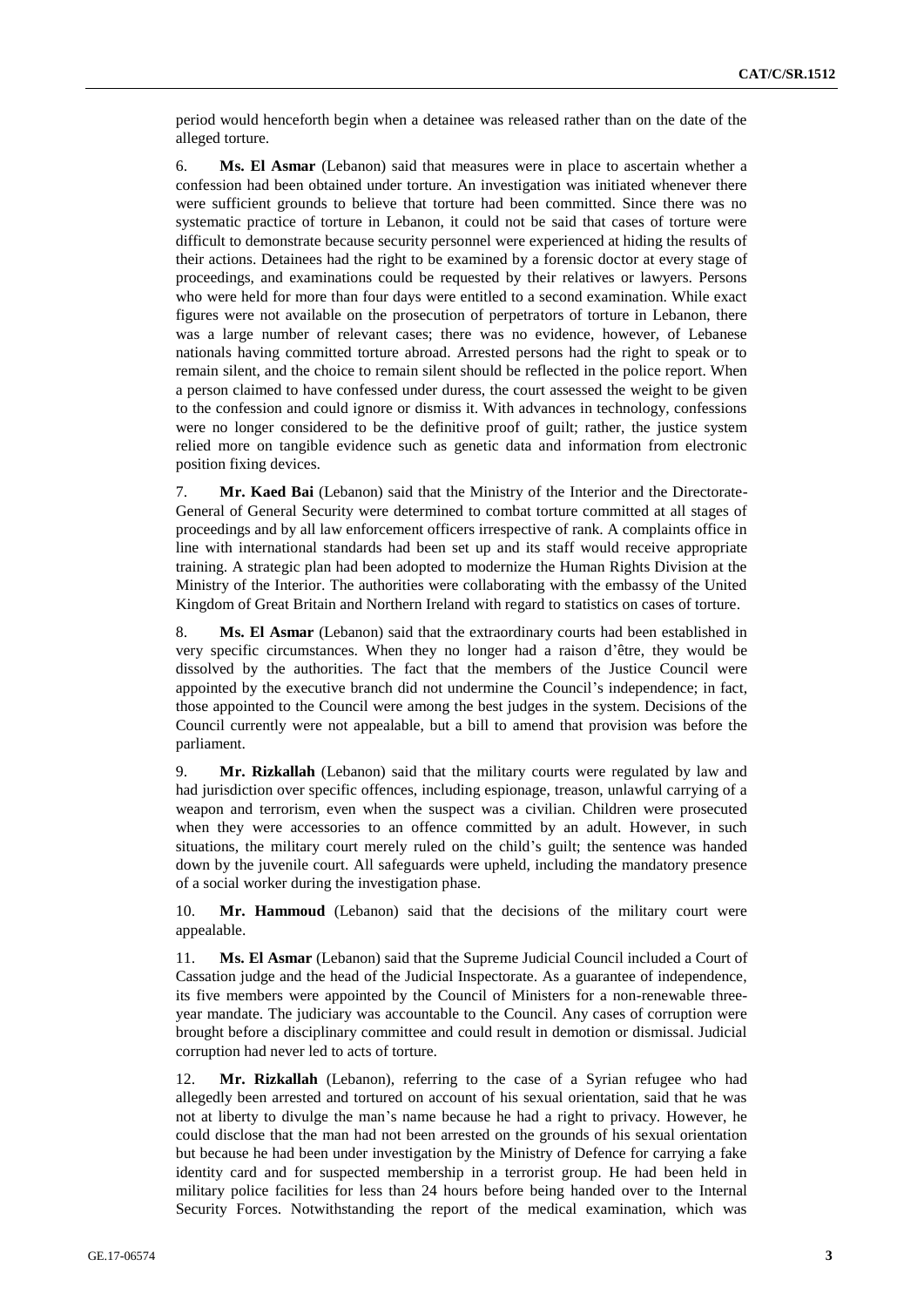period would henceforth begin when a detainee was released rather than on the date of the alleged torture.

6. **Ms. El Asmar** (Lebanon) said that measures were in place to ascertain whether a confession had been obtained under torture. An investigation was initiated whenever there were sufficient grounds to believe that torture had been committed. Since there was no systematic practice of torture in Lebanon, it could not be said that cases of torture were difficult to demonstrate because security personnel were experienced at hiding the results of their actions. Detainees had the right to be examined by a forensic doctor at every stage of proceedings, and examinations could be requested by their relatives or lawyers. Persons who were held for more than four days were entitled to a second examination. While exact figures were not available on the prosecution of perpetrators of torture in Lebanon, there was a large number of relevant cases; there was no evidence, however, of Lebanese nationals having committed torture abroad. Arrested persons had the right to speak or to remain silent, and the choice to remain silent should be reflected in the police report. When a person claimed to have confessed under duress, the court assessed the weight to be given to the confession and could ignore or dismiss it. With advances in technology, confessions were no longer considered to be the definitive proof of guilt; rather, the justice system relied more on tangible evidence such as genetic data and information from electronic position fixing devices.

7. **Mr. Kaed Bai** (Lebanon) said that the Ministry of the Interior and the Directorate-General of General Security were determined to combat torture committed at all stages of proceedings and by all law enforcement officers irrespective of rank. A complaints office in line with international standards had been set up and its staff would receive appropriate training. A strategic plan had been adopted to modernize the Human Rights Division at the Ministry of the Interior. The authorities were collaborating with the embassy of the United Kingdom of Great Britain and Northern Ireland with regard to statistics on cases of torture.

8. **Ms. El Asmar** (Lebanon) said that the extraordinary courts had been established in very specific circumstances. When they no longer had a raison d'être, they would be dissolved by the authorities. The fact that the members of the Justice Council were appointed by the executive branch did not undermine the Council's independence; in fact, those appointed to the Council were among the best judges in the system. Decisions of the Council currently were not appealable, but a bill to amend that provision was before the parliament.

9. **Mr. Rizkallah** (Lebanon) said that the military courts were regulated by law and had jurisdiction over specific offences, including espionage, treason, unlawful carrying of a weapon and terrorism, even when the suspect was a civilian. Children were prosecuted when they were accessories to an offence committed by an adult. However, in such situations, the military court merely ruled on the child's guilt; the sentence was handed down by the juvenile court. All safeguards were upheld, including the mandatory presence of a social worker during the investigation phase.

10. **Mr. Hammoud** (Lebanon) said that the decisions of the military court were appealable.

11. **Ms. El Asmar** (Lebanon) said that the Supreme Judicial Council included a Court of Cassation judge and the head of the Judicial Inspectorate. As a guarantee of independence, its five members were appointed by the Council of Ministers for a non-renewable threeyear mandate. The judiciary was accountable to the Council. Any cases of corruption were brought before a disciplinary committee and could result in demotion or dismissal. Judicial corruption had never led to acts of torture.

12. **Mr. Rizkallah** (Lebanon), referring to the case of a Syrian refugee who had allegedly been arrested and tortured on account of his sexual orientation, said that he was not at liberty to divulge the man's name because he had a right to privacy. However, he could disclose that the man had not been arrested on the grounds of his sexual orientation but because he had been under investigation by the Ministry of Defence for carrying a fake identity card and for suspected membership in a terrorist group. He had been held in military police facilities for less than 24 hours before being handed over to the Internal Security Forces. Notwithstanding the report of the medical examination, which was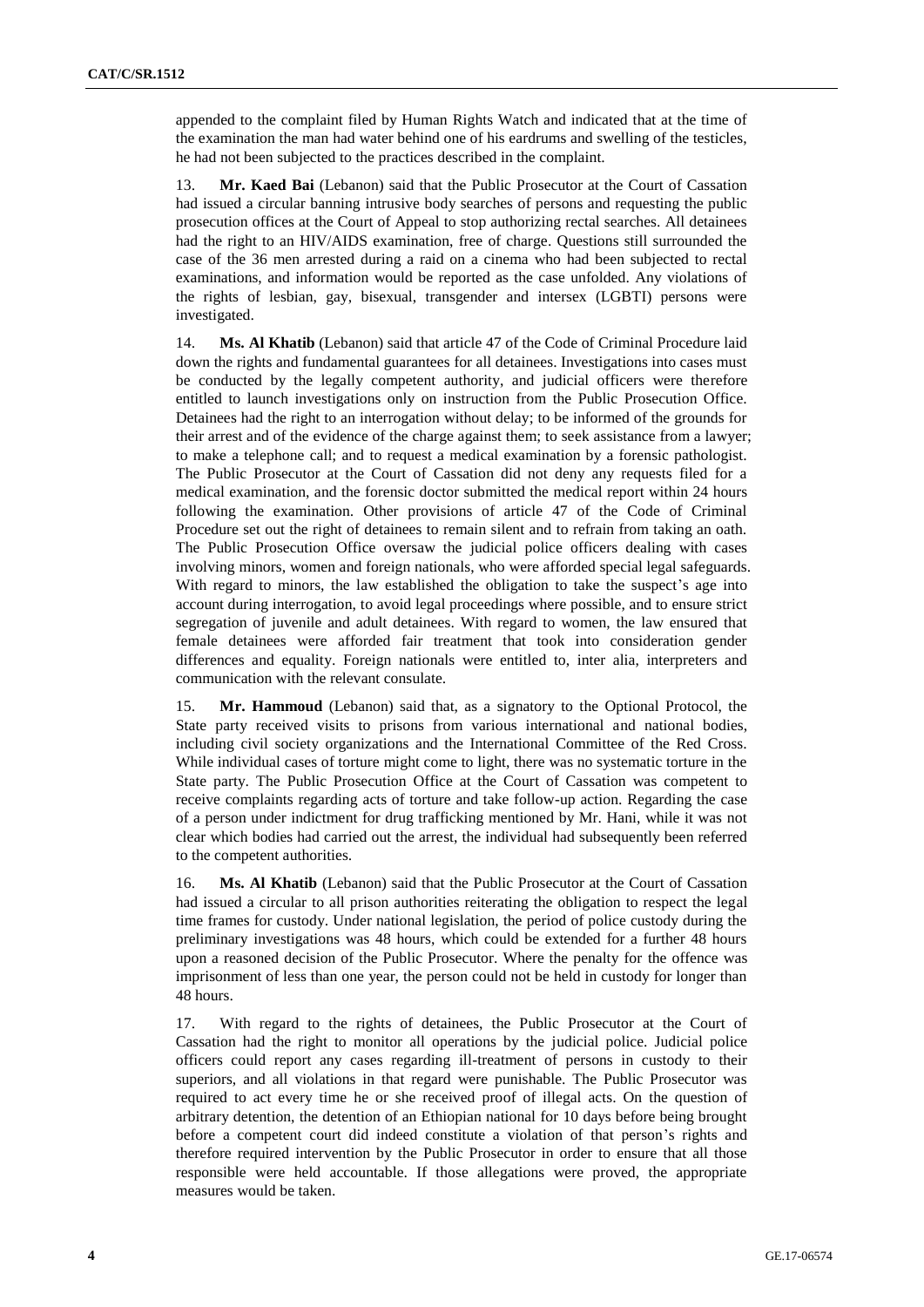appended to the complaint filed by Human Rights Watch and indicated that at the time of the examination the man had water behind one of his eardrums and swelling of the testicles, he had not been subjected to the practices described in the complaint.

13. **Mr. Kaed Bai** (Lebanon) said that the Public Prosecutor at the Court of Cassation had issued a circular banning intrusive body searches of persons and requesting the public prosecution offices at the Court of Appeal to stop authorizing rectal searches. All detainees had the right to an HIV/AIDS examination, free of charge. Questions still surrounded the case of the 36 men arrested during a raid on a cinema who had been subjected to rectal examinations, and information would be reported as the case unfolded. Any violations of the rights of lesbian, gay, bisexual, transgender and intersex (LGBTI) persons were investigated.

14. **Ms. Al Khatib** (Lebanon) said that article 47 of the Code of Criminal Procedure laid down the rights and fundamental guarantees for all detainees. Investigations into cases must be conducted by the legally competent authority, and judicial officers were therefore entitled to launch investigations only on instruction from the Public Prosecution Office. Detainees had the right to an interrogation without delay; to be informed of the grounds for their arrest and of the evidence of the charge against them; to seek assistance from a lawyer; to make a telephone call; and to request a medical examination by a forensic pathologist. The Public Prosecutor at the Court of Cassation did not deny any requests filed for a medical examination, and the forensic doctor submitted the medical report within 24 hours following the examination. Other provisions of article 47 of the Code of Criminal Procedure set out the right of detainees to remain silent and to refrain from taking an oath. The Public Prosecution Office oversaw the judicial police officers dealing with cases involving minors, women and foreign nationals, who were afforded special legal safeguards. With regard to minors, the law established the obligation to take the suspect's age into account during interrogation, to avoid legal proceedings where possible, and to ensure strict segregation of juvenile and adult detainees. With regard to women, the law ensured that female detainees were afforded fair treatment that took into consideration gender differences and equality. Foreign nationals were entitled to, inter alia, interpreters and communication with the relevant consulate.

15. **Mr. Hammoud** (Lebanon) said that, as a signatory to the Optional Protocol, the State party received visits to prisons from various international and national bodies, including civil society organizations and the International Committee of the Red Cross. While individual cases of torture might come to light, there was no systematic torture in the State party. The Public Prosecution Office at the Court of Cassation was competent to receive complaints regarding acts of torture and take follow-up action. Regarding the case of a person under indictment for drug trafficking mentioned by Mr. Hani, while it was not clear which bodies had carried out the arrest, the individual had subsequently been referred to the competent authorities.

16. **Ms. Al Khatib** (Lebanon) said that the Public Prosecutor at the Court of Cassation had issued a circular to all prison authorities reiterating the obligation to respect the legal time frames for custody. Under national legislation, the period of police custody during the preliminary investigations was 48 hours, which could be extended for a further 48 hours upon a reasoned decision of the Public Prosecutor. Where the penalty for the offence was imprisonment of less than one year, the person could not be held in custody for longer than 48 hours.

17. With regard to the rights of detainees, the Public Prosecutor at the Court of Cassation had the right to monitor all operations by the judicial police. Judicial police officers could report any cases regarding ill-treatment of persons in custody to their superiors, and all violations in that regard were punishable. The Public Prosecutor was required to act every time he or she received proof of illegal acts. On the question of arbitrary detention, the detention of an Ethiopian national for 10 days before being brought before a competent court did indeed constitute a violation of that person's rights and therefore required intervention by the Public Prosecutor in order to ensure that all those responsible were held accountable. If those allegations were proved, the appropriate measures would be taken.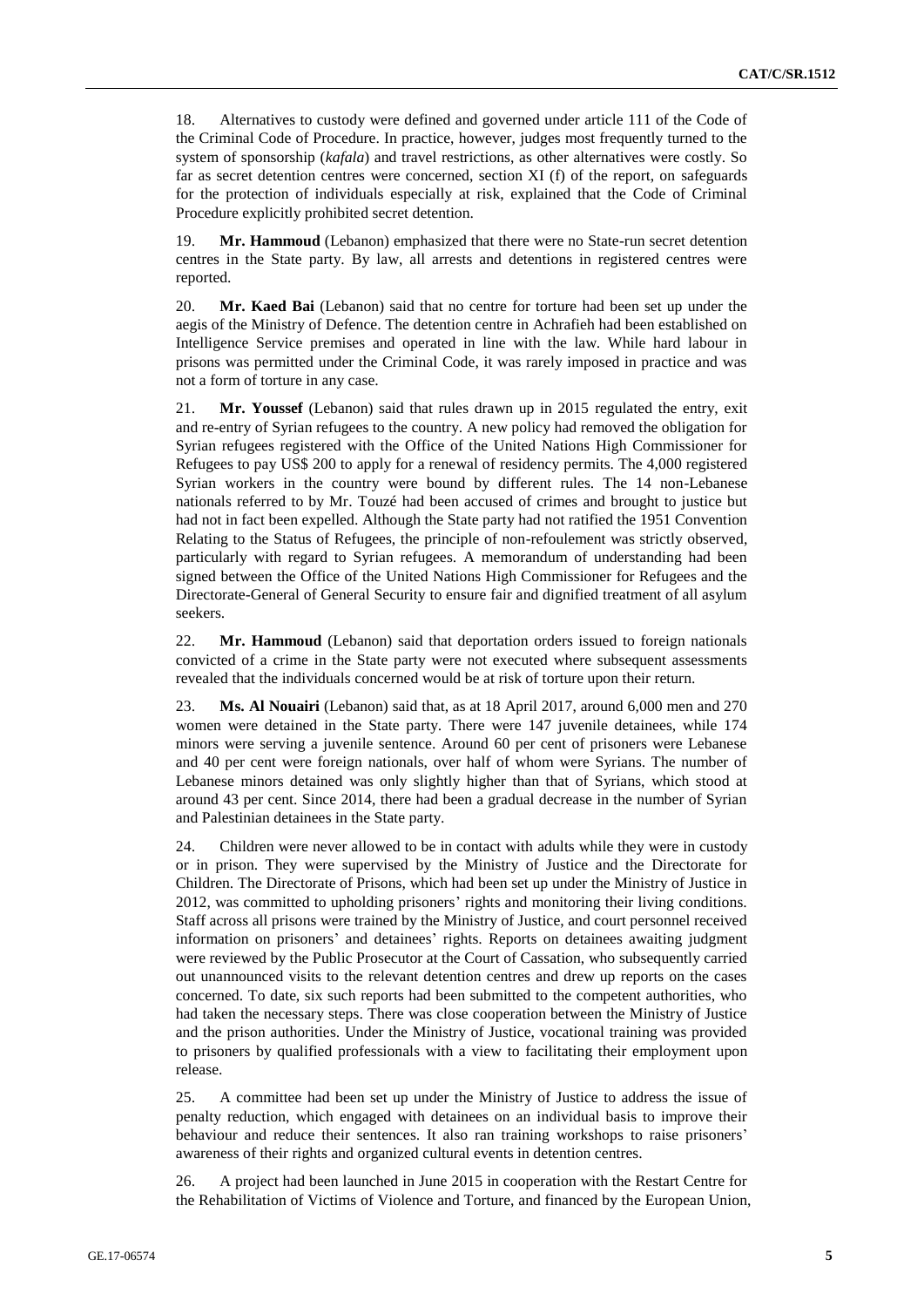18. Alternatives to custody were defined and governed under article 111 of the Code of the Criminal Code of Procedure. In practice, however, judges most frequently turned to the system of sponsorship (*kafala*) and travel restrictions, as other alternatives were costly. So far as secret detention centres were concerned, section XI (f) of the report, on safeguards for the protection of individuals especially at risk, explained that the Code of Criminal Procedure explicitly prohibited secret detention.

19. **Mr. Hammoud** (Lebanon) emphasized that there were no State-run secret detention centres in the State party. By law, all arrests and detentions in registered centres were reported.

20. **Mr. Kaed Bai** (Lebanon) said that no centre for torture had been set up under the aegis of the Ministry of Defence. The detention centre in Achrafieh had been established on Intelligence Service premises and operated in line with the law. While hard labour in prisons was permitted under the Criminal Code, it was rarely imposed in practice and was not a form of torture in any case.

21. **Mr. Youssef** (Lebanon) said that rules drawn up in 2015 regulated the entry, exit and re-entry of Syrian refugees to the country. A new policy had removed the obligation for Syrian refugees registered with the Office of the United Nations High Commissioner for Refugees to pay US\$ 200 to apply for a renewal of residency permits. The 4,000 registered Syrian workers in the country were bound by different rules. The 14 non-Lebanese nationals referred to by Mr. Touzé had been accused of crimes and brought to justice but had not in fact been expelled. Although the State party had not ratified the 1951 Convention Relating to the Status of Refugees, the principle of non-refoulement was strictly observed, particularly with regard to Syrian refugees. A memorandum of understanding had been signed between the Office of the United Nations High Commissioner for Refugees and the Directorate-General of General Security to ensure fair and dignified treatment of all asylum seekers.

22. **Mr. Hammoud** (Lebanon) said that deportation orders issued to foreign nationals convicted of a crime in the State party were not executed where subsequent assessments revealed that the individuals concerned would be at risk of torture upon their return.

23. **Ms. Al Nouairi** (Lebanon) said that, as at 18 April 2017, around 6,000 men and 270 women were detained in the State party. There were 147 juvenile detainees, while 174 minors were serving a juvenile sentence. Around 60 per cent of prisoners were Lebanese and 40 per cent were foreign nationals, over half of whom were Syrians. The number of Lebanese minors detained was only slightly higher than that of Syrians, which stood at around 43 per cent. Since 2014, there had been a gradual decrease in the number of Syrian and Palestinian detainees in the State party.

24. Children were never allowed to be in contact with adults while they were in custody or in prison. They were supervised by the Ministry of Justice and the Directorate for Children. The Directorate of Prisons, which had been set up under the Ministry of Justice in 2012, was committed to upholding prisoners' rights and monitoring their living conditions. Staff across all prisons were trained by the Ministry of Justice, and court personnel received information on prisoners' and detainees' rights. Reports on detainees awaiting judgment were reviewed by the Public Prosecutor at the Court of Cassation, who subsequently carried out unannounced visits to the relevant detention centres and drew up reports on the cases concerned. To date, six such reports had been submitted to the competent authorities, who had taken the necessary steps. There was close cooperation between the Ministry of Justice and the prison authorities. Under the Ministry of Justice, vocational training was provided to prisoners by qualified professionals with a view to facilitating their employment upon release.

25. A committee had been set up under the Ministry of Justice to address the issue of penalty reduction, which engaged with detainees on an individual basis to improve their behaviour and reduce their sentences. It also ran training workshops to raise prisoners' awareness of their rights and organized cultural events in detention centres.

26. A project had been launched in June 2015 in cooperation with the Restart Centre for the Rehabilitation of Victims of Violence and Torture, and financed by the European Union,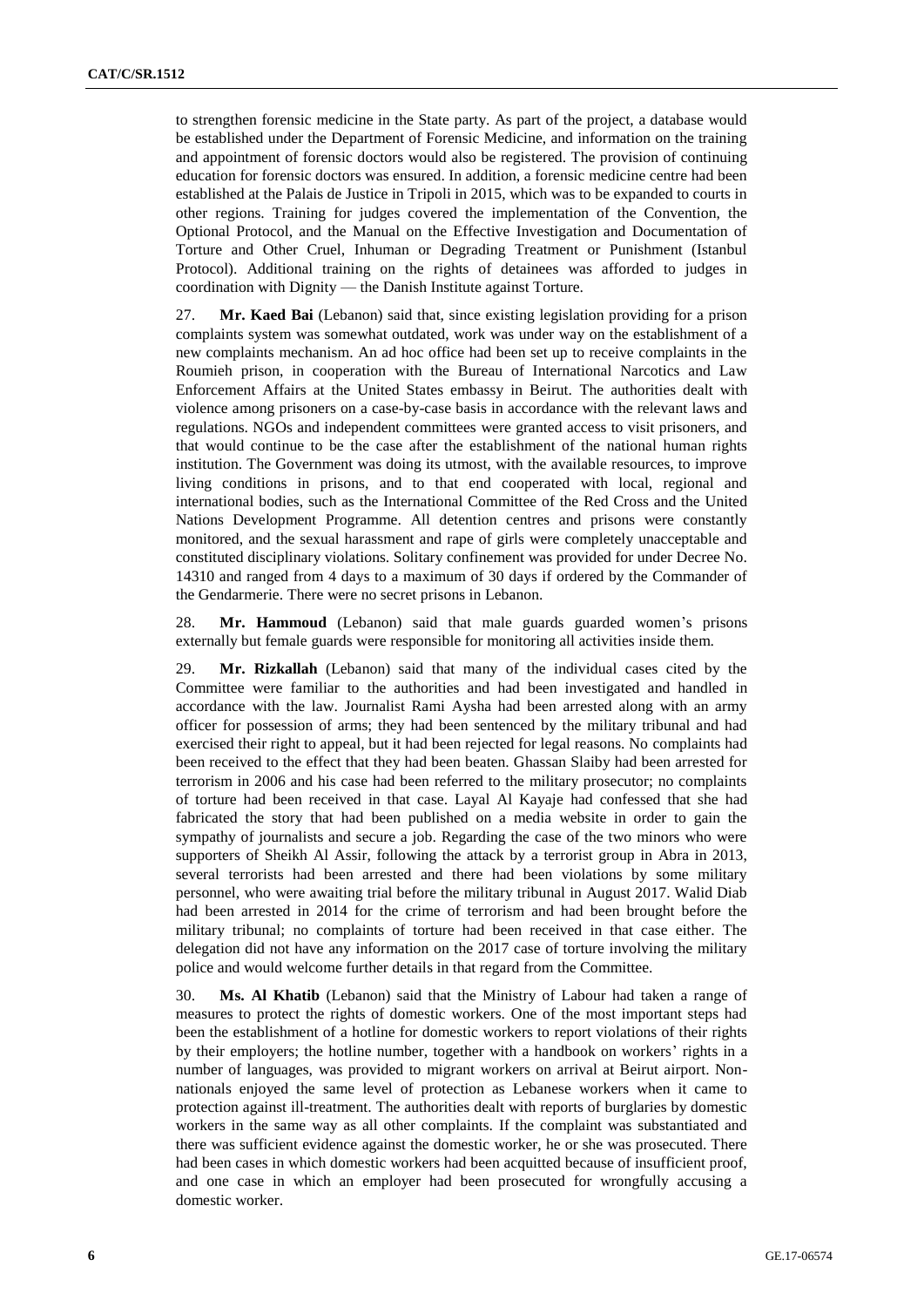to strengthen forensic medicine in the State party. As part of the project, a database would be established under the Department of Forensic Medicine, and information on the training and appointment of forensic doctors would also be registered. The provision of continuing education for forensic doctors was ensured. In addition, a forensic medicine centre had been established at the Palais de Justice in Tripoli in 2015, which was to be expanded to courts in other regions. Training for judges covered the implementation of the Convention, the Optional Protocol, and the Manual on the Effective Investigation and Documentation of Torture and Other Cruel, Inhuman or Degrading Treatment or Punishment (Istanbul Protocol). Additional training on the rights of detainees was afforded to judges in coordination with Dignity — the Danish Institute against Torture.

27. **Mr. Kaed Bai** (Lebanon) said that, since existing legislation providing for a prison complaints system was somewhat outdated, work was under way on the establishment of a new complaints mechanism. An ad hoc office had been set up to receive complaints in the Roumieh prison, in cooperation with the Bureau of International Narcotics and Law Enforcement Affairs at the United States embassy in Beirut. The authorities dealt with violence among prisoners on a case-by-case basis in accordance with the relevant laws and regulations. NGOs and independent committees were granted access to visit prisoners, and that would continue to be the case after the establishment of the national human rights institution. The Government was doing its utmost, with the available resources, to improve living conditions in prisons, and to that end cooperated with local, regional and international bodies, such as the International Committee of the Red Cross and the United Nations Development Programme. All detention centres and prisons were constantly monitored, and the sexual harassment and rape of girls were completely unacceptable and constituted disciplinary violations. Solitary confinement was provided for under Decree No. 14310 and ranged from 4 days to a maximum of 30 days if ordered by the Commander of the Gendarmerie. There were no secret prisons in Lebanon.

28. **Mr. Hammoud** (Lebanon) said that male guards guarded women's prisons externally but female guards were responsible for monitoring all activities inside them.

29. **Mr. Rizkallah** (Lebanon) said that many of the individual cases cited by the Committee were familiar to the authorities and had been investigated and handled in accordance with the law. Journalist Rami Aysha had been arrested along with an army officer for possession of arms; they had been sentenced by the military tribunal and had exercised their right to appeal, but it had been rejected for legal reasons. No complaints had been received to the effect that they had been beaten. Ghassan Slaiby had been arrested for terrorism in 2006 and his case had been referred to the military prosecutor; no complaints of torture had been received in that case. Layal Al Kayaje had confessed that she had fabricated the story that had been published on a media website in order to gain the sympathy of journalists and secure a job. Regarding the case of the two minors who were supporters of Sheikh Al Assir, following the attack by a terrorist group in Abra in 2013, several terrorists had been arrested and there had been violations by some military personnel, who were awaiting trial before the military tribunal in August 2017. Walid Diab had been arrested in 2014 for the crime of terrorism and had been brought before the military tribunal; no complaints of torture had been received in that case either. The delegation did not have any information on the 2017 case of torture involving the military police and would welcome further details in that regard from the Committee.

30. **Ms. Al Khatib** (Lebanon) said that the Ministry of Labour had taken a range of measures to protect the rights of domestic workers. One of the most important steps had been the establishment of a hotline for domestic workers to report violations of their rights by their employers; the hotline number, together with a handbook on workers' rights in a number of languages, was provided to migrant workers on arrival at Beirut airport. Nonnationals enjoyed the same level of protection as Lebanese workers when it came to protection against ill-treatment. The authorities dealt with reports of burglaries by domestic workers in the same way as all other complaints. If the complaint was substantiated and there was sufficient evidence against the domestic worker, he or she was prosecuted. There had been cases in which domestic workers had been acquitted because of insufficient proof, and one case in which an employer had been prosecuted for wrongfully accusing a domestic worker.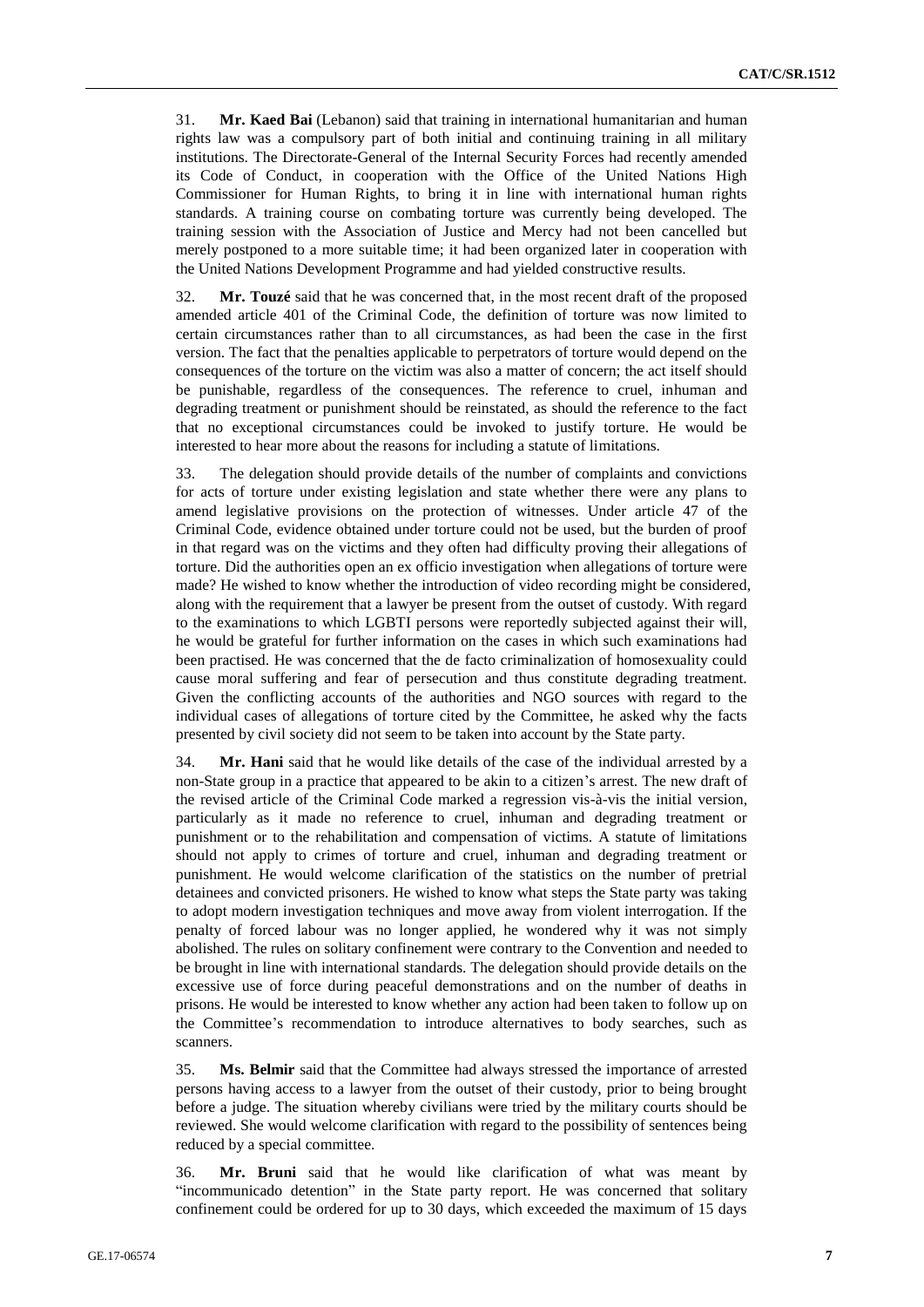31. **Mr. Kaed Bai** (Lebanon) said that training in international humanitarian and human rights law was a compulsory part of both initial and continuing training in all military institutions. The Directorate-General of the Internal Security Forces had recently amended its Code of Conduct, in cooperation with the Office of the United Nations High Commissioner for Human Rights, to bring it in line with international human rights standards. A training course on combating torture was currently being developed. The training session with the Association of Justice and Mercy had not been cancelled but merely postponed to a more suitable time; it had been organized later in cooperation with the United Nations Development Programme and had yielded constructive results.

32. **Mr. Touzé** said that he was concerned that, in the most recent draft of the proposed amended article 401 of the Criminal Code, the definition of torture was now limited to certain circumstances rather than to all circumstances, as had been the case in the first version. The fact that the penalties applicable to perpetrators of torture would depend on the consequences of the torture on the victim was also a matter of concern; the act itself should be punishable, regardless of the consequences. The reference to cruel, inhuman and degrading treatment or punishment should be reinstated, as should the reference to the fact that no exceptional circumstances could be invoked to justify torture. He would be interested to hear more about the reasons for including a statute of limitations.

33. The delegation should provide details of the number of complaints and convictions for acts of torture under existing legislation and state whether there were any plans to amend legislative provisions on the protection of witnesses. Under article 47 of the Criminal Code, evidence obtained under torture could not be used, but the burden of proof in that regard was on the victims and they often had difficulty proving their allegations of torture. Did the authorities open an ex officio investigation when allegations of torture were made? He wished to know whether the introduction of video recording might be considered, along with the requirement that a lawyer be present from the outset of custody. With regard to the examinations to which LGBTI persons were reportedly subjected against their will, he would be grateful for further information on the cases in which such examinations had been practised. He was concerned that the de facto criminalization of homosexuality could cause moral suffering and fear of persecution and thus constitute degrading treatment. Given the conflicting accounts of the authorities and NGO sources with regard to the individual cases of allegations of torture cited by the Committee, he asked why the facts presented by civil society did not seem to be taken into account by the State party.

34. **Mr. Hani** said that he would like details of the case of the individual arrested by a non-State group in a practice that appeared to be akin to a citizen's arrest. The new draft of the revised article of the Criminal Code marked a regression vis-à-vis the initial version, particularly as it made no reference to cruel, inhuman and degrading treatment or punishment or to the rehabilitation and compensation of victims. A statute of limitations should not apply to crimes of torture and cruel, inhuman and degrading treatment or punishment. He would welcome clarification of the statistics on the number of pretrial detainees and convicted prisoners. He wished to know what steps the State party was taking to adopt modern investigation techniques and move away from violent interrogation. If the penalty of forced labour was no longer applied, he wondered why it was not simply abolished. The rules on solitary confinement were contrary to the Convention and needed to be brought in line with international standards. The delegation should provide details on the excessive use of force during peaceful demonstrations and on the number of deaths in prisons. He would be interested to know whether any action had been taken to follow up on the Committee's recommendation to introduce alternatives to body searches, such as scanners.

35. **Ms. Belmir** said that the Committee had always stressed the importance of arrested persons having access to a lawyer from the outset of their custody, prior to being brought before a judge. The situation whereby civilians were tried by the military courts should be reviewed. She would welcome clarification with regard to the possibility of sentences being reduced by a special committee.

36. **Mr. Bruni** said that he would like clarification of what was meant by "incommunicado detention" in the State party report. He was concerned that solitary confinement could be ordered for up to 30 days, which exceeded the maximum of 15 days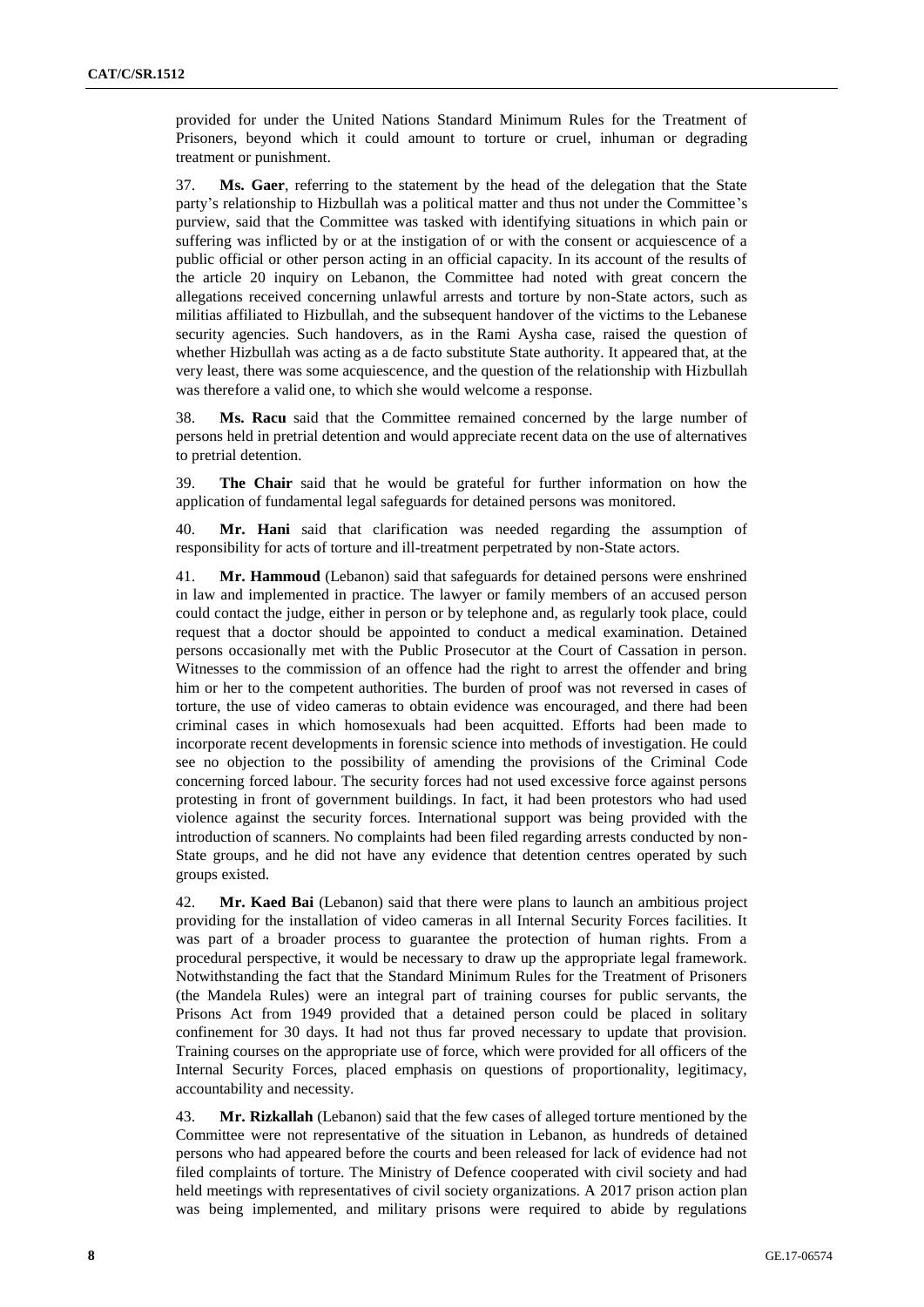provided for under the United Nations Standard Minimum Rules for the Treatment of Prisoners, beyond which it could amount to torture or cruel, inhuman or degrading treatment or punishment.

37. **Ms. Gaer**, referring to the statement by the head of the delegation that the State party's relationship to Hizbullah was a political matter and thus not under the Committee's purview, said that the Committee was tasked with identifying situations in which pain or suffering was inflicted by or at the instigation of or with the consent or acquiescence of a public official or other person acting in an official capacity. In its account of the results of the article 20 inquiry on Lebanon, the Committee had noted with great concern the allegations received concerning unlawful arrests and torture by non-State actors, such as militias affiliated to Hizbullah, and the subsequent handover of the victims to the Lebanese security agencies. Such handovers, as in the Rami Aysha case, raised the question of whether Hizbullah was acting as a de facto substitute State authority. It appeared that, at the very least, there was some acquiescence, and the question of the relationship with Hizbullah was therefore a valid one, to which she would welcome a response.

38. **Ms. Racu** said that the Committee remained concerned by the large number of persons held in pretrial detention and would appreciate recent data on the use of alternatives to pretrial detention.

39. **The Chair** said that he would be grateful for further information on how the application of fundamental legal safeguards for detained persons was monitored.

40. **Mr. Hani** said that clarification was needed regarding the assumption of responsibility for acts of torture and ill-treatment perpetrated by non-State actors.

41. **Mr. Hammoud** (Lebanon) said that safeguards for detained persons were enshrined in law and implemented in practice. The lawyer or family members of an accused person could contact the judge, either in person or by telephone and, as regularly took place, could request that a doctor should be appointed to conduct a medical examination. Detained persons occasionally met with the Public Prosecutor at the Court of Cassation in person. Witnesses to the commission of an offence had the right to arrest the offender and bring him or her to the competent authorities. The burden of proof was not reversed in cases of torture, the use of video cameras to obtain evidence was encouraged, and there had been criminal cases in which homosexuals had been acquitted. Efforts had been made to incorporate recent developments in forensic science into methods of investigation. He could see no objection to the possibility of amending the provisions of the Criminal Code concerning forced labour. The security forces had not used excessive force against persons protesting in front of government buildings. In fact, it had been protestors who had used violence against the security forces. International support was being provided with the introduction of scanners. No complaints had been filed regarding arrests conducted by non-State groups, and he did not have any evidence that detention centres operated by such groups existed.

42. **Mr. Kaed Bai** (Lebanon) said that there were plans to launch an ambitious project providing for the installation of video cameras in all Internal Security Forces facilities. It was part of a broader process to guarantee the protection of human rights. From a procedural perspective, it would be necessary to draw up the appropriate legal framework. Notwithstanding the fact that the Standard Minimum Rules for the Treatment of Prisoners (the Mandela Rules) were an integral part of training courses for public servants, the Prisons Act from 1949 provided that a detained person could be placed in solitary confinement for 30 days. It had not thus far proved necessary to update that provision. Training courses on the appropriate use of force, which were provided for all officers of the Internal Security Forces, placed emphasis on questions of proportionality, legitimacy, accountability and necessity.

43. **Mr. Rizkallah** (Lebanon) said that the few cases of alleged torture mentioned by the Committee were not representative of the situation in Lebanon, as hundreds of detained persons who had appeared before the courts and been released for lack of evidence had not filed complaints of torture. The Ministry of Defence cooperated with civil society and had held meetings with representatives of civil society organizations. A 2017 prison action plan was being implemented, and military prisons were required to abide by regulations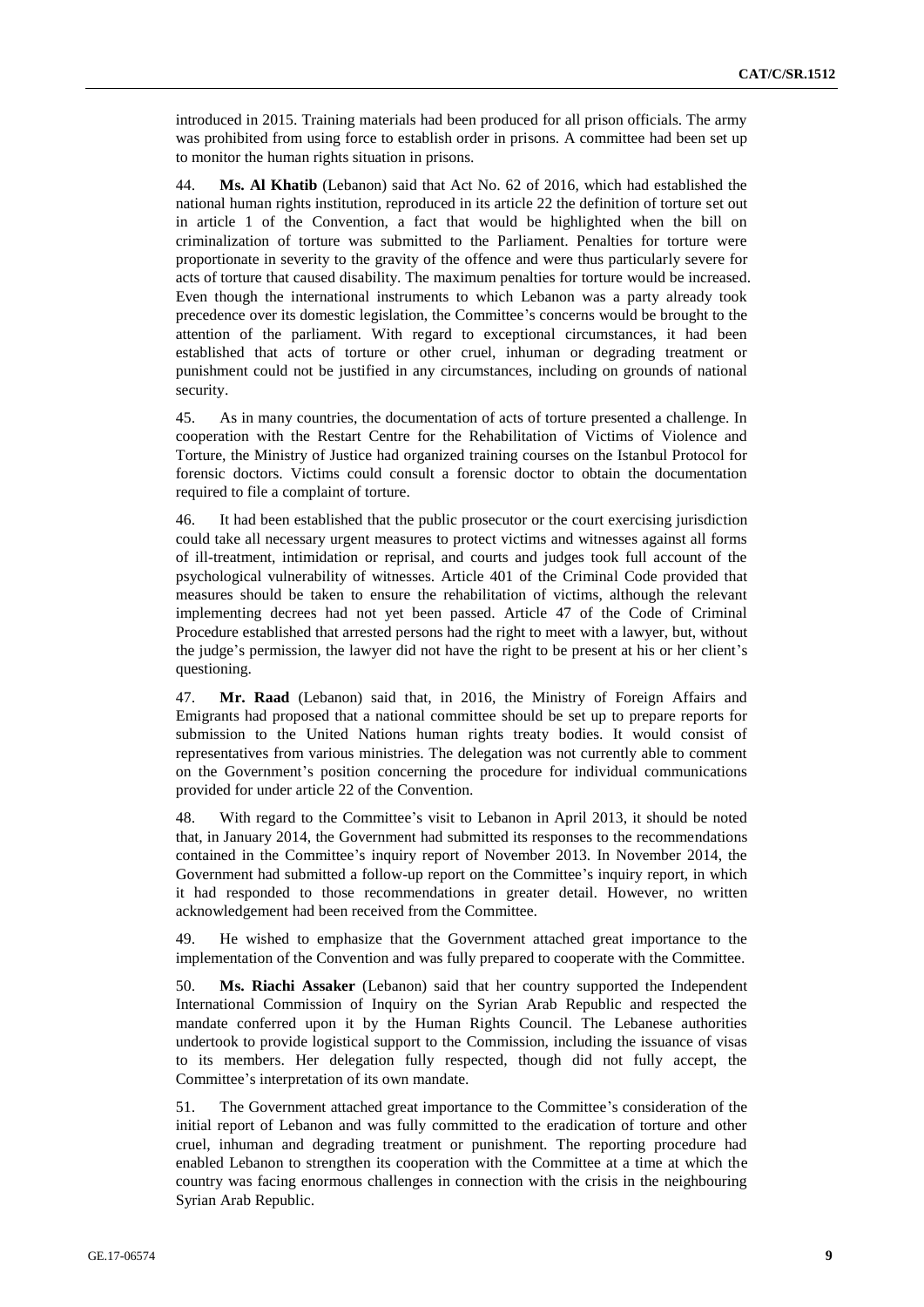introduced in 2015. Training materials had been produced for all prison officials. The army was prohibited from using force to establish order in prisons. A committee had been set up to monitor the human rights situation in prisons.

44. **Ms. Al Khatib** (Lebanon) said that Act No. 62 of 2016, which had established the national human rights institution, reproduced in its article 22 the definition of torture set out in article 1 of the Convention, a fact that would be highlighted when the bill on criminalization of torture was submitted to the Parliament. Penalties for torture were proportionate in severity to the gravity of the offence and were thus particularly severe for acts of torture that caused disability. The maximum penalties for torture would be increased. Even though the international instruments to which Lebanon was a party already took precedence over its domestic legislation, the Committee's concerns would be brought to the attention of the parliament. With regard to exceptional circumstances, it had been established that acts of torture or other cruel, inhuman or degrading treatment or punishment could not be justified in any circumstances, including on grounds of national security.

45. As in many countries, the documentation of acts of torture presented a challenge. In cooperation with the Restart Centre for the Rehabilitation of Victims of Violence and Torture, the Ministry of Justice had organized training courses on the Istanbul Protocol for forensic doctors. Victims could consult a forensic doctor to obtain the documentation required to file a complaint of torture.

46. It had been established that the public prosecutor or the court exercising jurisdiction could take all necessary urgent measures to protect victims and witnesses against all forms of ill-treatment, intimidation or reprisal, and courts and judges took full account of the psychological vulnerability of witnesses. Article 401 of the Criminal Code provided that measures should be taken to ensure the rehabilitation of victims, although the relevant implementing decrees had not yet been passed. Article 47 of the Code of Criminal Procedure established that arrested persons had the right to meet with a lawyer, but, without the judge's permission, the lawyer did not have the right to be present at his or her client's questioning.

47. **Mr. Raad** (Lebanon) said that, in 2016, the Ministry of Foreign Affairs and Emigrants had proposed that a national committee should be set up to prepare reports for submission to the United Nations human rights treaty bodies. It would consist of representatives from various ministries. The delegation was not currently able to comment on the Government's position concerning the procedure for individual communications provided for under article 22 of the Convention.

48. With regard to the Committee's visit to Lebanon in April 2013, it should be noted that, in January 2014, the Government had submitted its responses to the recommendations contained in the Committee's inquiry report of November 2013. In November 2014, the Government had submitted a follow-up report on the Committee's inquiry report, in which it had responded to those recommendations in greater detail. However, no written acknowledgement had been received from the Committee.

49. He wished to emphasize that the Government attached great importance to the implementation of the Convention and was fully prepared to cooperate with the Committee.

50. **Ms. Riachi Assaker** (Lebanon) said that her country supported the Independent International Commission of Inquiry on the Syrian Arab Republic and respected the mandate conferred upon it by the Human Rights Council. The Lebanese authorities undertook to provide logistical support to the Commission, including the issuance of visas to its members. Her delegation fully respected, though did not fully accept, the Committee's interpretation of its own mandate.

51. The Government attached great importance to the Committee's consideration of the initial report of Lebanon and was fully committed to the eradication of torture and other cruel, inhuman and degrading treatment or punishment. The reporting procedure had enabled Lebanon to strengthen its cooperation with the Committee at a time at which the country was facing enormous challenges in connection with the crisis in the neighbouring Syrian Arab Republic.